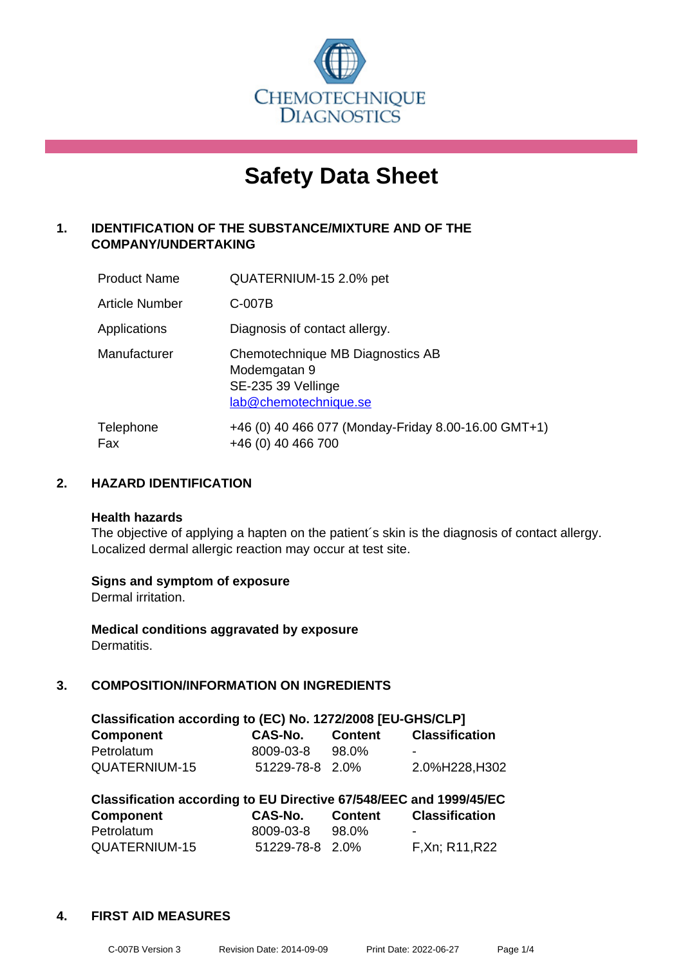

# **Safety Data Sheet**

## **1. IDENTIFICATION OF THE SUBSTANCE/MIXTURE AND OF THE COMPANY/UNDERTAKING**

| <b>Product Name</b> | QUATERNIUM-15 2.0% pet                                                                          |
|---------------------|-------------------------------------------------------------------------------------------------|
| Article Number      | C-007B                                                                                          |
| Applications        | Diagnosis of contact allergy.                                                                   |
| Manufacturer        | Chemotechnique MB Diagnostics AB<br>Modemgatan 9<br>SE-235 39 Vellinge<br>lab@chemotechnique.se |
| Telephone<br>Fax    | +46 (0) 40 466 077 (Monday-Friday 8.00-16.00 GMT+1)<br>+46 (0) 40 466 700                       |

## **2. HAZARD IDENTIFICATION**

#### **Health hazards**

The objective of applying a hapten on the patient's skin is the diagnosis of contact allergy. Localized dermal allergic reaction may occur at test site.

## **Signs and symptom of exposure**

Dermal irritation.

**Medical conditions aggravated by exposure** Dermatitis.

## **3. COMPOSITION/INFORMATION ON INGREDIENTS**

| Classification according to (EC) No. 1272/2008 [EU-GHS/CLP] |                 |         |                       |  |
|-------------------------------------------------------------|-----------------|---------|-----------------------|--|
| <b>Component</b>                                            | CAS-No.         | Content | <b>Classification</b> |  |
| Petrolatum                                                  | 8009-03-8       | 98.0%   | -                     |  |
| QUATERNIUM-15                                               | 51229-78-8 2.0% |         | 2.0%H228,H302         |  |

| Classification according to EU Directive 67/548/EEC and 1999/45/EC |                 |                |                       |  |
|--------------------------------------------------------------------|-----------------|----------------|-----------------------|--|
| Component                                                          | <b>CAS-No.</b>  | <b>Content</b> | <b>Classification</b> |  |
| Petrolatum                                                         | 8009-03-8       | 98.0%          | -                     |  |
| QUATERNIUM-15                                                      | 51229-78-8 2.0% |                | F.Xn: R11, R22        |  |

#### **4. FIRST AID MEASURES**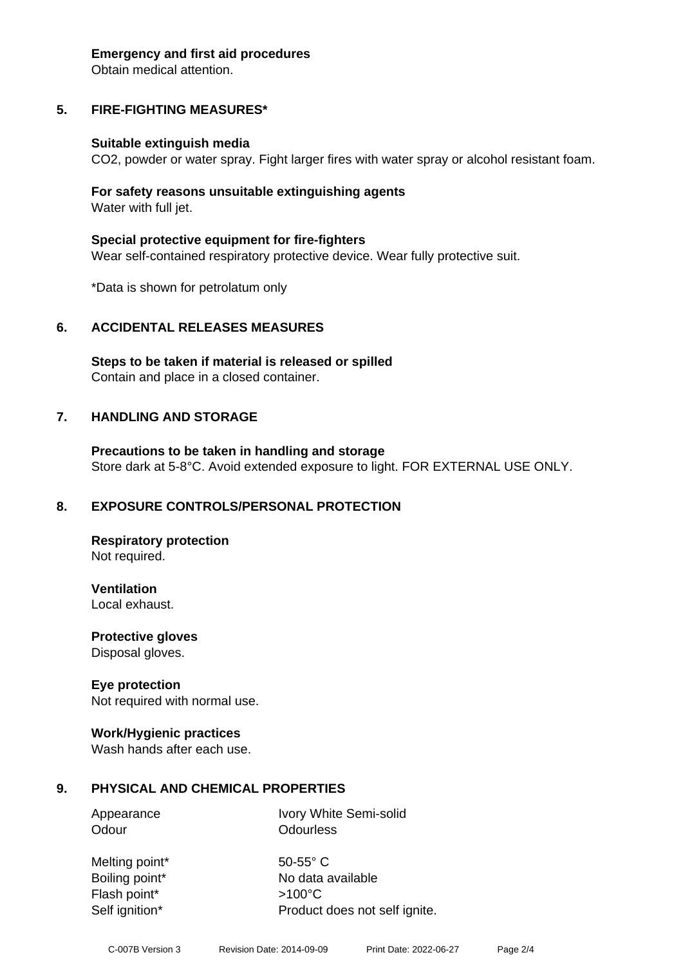#### **Emergency and first aid procedures**

Obtain medical attention.

## **5. FIRE-FIGHTING MEASURES\***

#### **Suitable extinguish media**

CO2, powder or water spray. Fight larger fires with water spray or alcohol resistant foam.

#### **For safety reasons unsuitable extinguishing agents** Water with full jet.

**Special protective equipment for fire-fighters** Wear self-contained respiratory protective device. Wear fully protective suit.

\*Data is shown for petrolatum only

## **6. ACCIDENTAL RELEASES MEASURES**

**Steps to be taken if material is released or spilled** Contain and place in a closed container.

## **7. HANDLING AND STORAGE**

**Precautions to be taken in handling and storage** Store dark at 5-8°C. Avoid extended exposure to light. FOR EXTERNAL USE ONLY.

## **8. EXPOSURE CONTROLS/PERSONAL PROTECTION**

**Respiratory protection** Not required.

**Ventilation** Local exhaust.

**Protective gloves** Disposal gloves.

## **Eye protection**

Not required with normal use.

## **Work/Hygienic practices**

Wash hands after each use.

## **9. PHYSICAL AND CHEMICAL PROPERTIES**

Odour **Odourless** 

Appearance Ivory White Semi-solid

Melting point\* 50-55° C Flash point\* >100°C

Boiling point\* No data available Self ignition\* Product does not self ignite.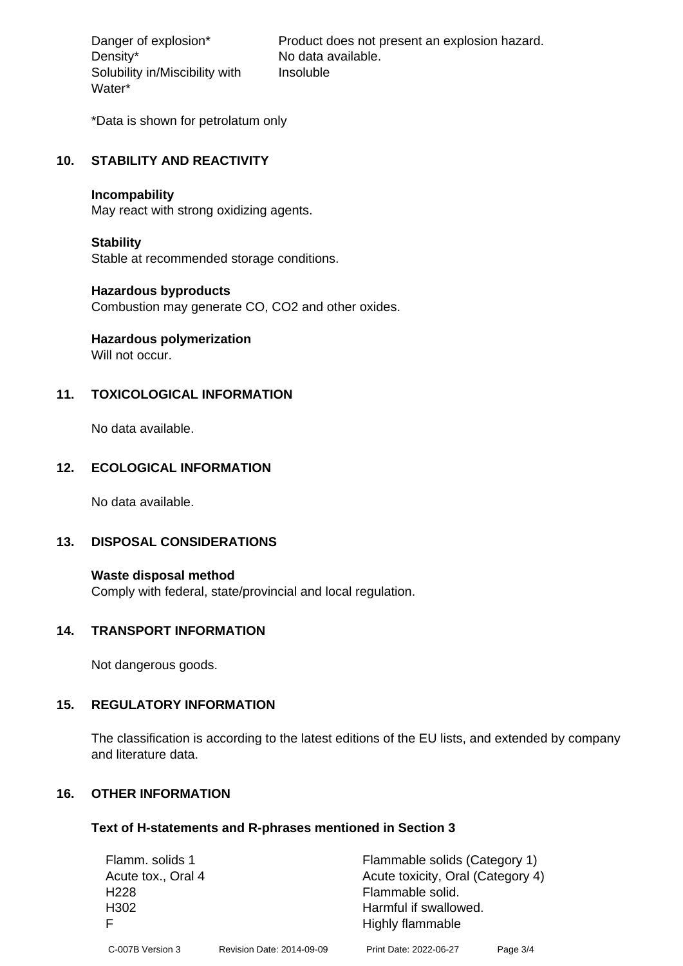Density\* No data available. Solubility in/Miscibility with Water\*

Danger of explosion\* Product does not present an explosion hazard. Insoluble

\*Data is shown for petrolatum only

#### **10. STABILITY AND REACTIVITY**

#### **Incompability**

May react with strong oxidizing agents.

#### **Stability**

Stable at recommended storage conditions.

#### **Hazardous byproducts**

Combustion may generate CO, CO2 and other oxides.

# **Hazardous polymerization**

Will not occur.

## **11. TOXICOLOGICAL INFORMATION**

No data available.

## **12. ECOLOGICAL INFORMATION**

No data available.

## **13. DISPOSAL CONSIDERATIONS**

**Waste disposal method** Comply with federal, state/provincial and local regulation.

#### **14. TRANSPORT INFORMATION**

Not dangerous goods.

## **15. REGULATORY INFORMATION**

The classification is according to the latest editions of the EU lists, and extended by company and literature data.

## **16. OTHER INFORMATION**

#### **Text of H-statements and R-phrases mentioned in Section 3**

| Flamm. solids 1    |                           | Flammable solids (Category 1)     |          |
|--------------------|---------------------------|-----------------------------------|----------|
| Acute tox., Oral 4 |                           | Acute toxicity, Oral (Category 4) |          |
| H <sub>228</sub>   |                           | Flammable solid.                  |          |
| H <sub>302</sub>   |                           | Harmful if swallowed.             |          |
|                    |                           | Highly flammable                  |          |
| C-007B Version 3   | Revision Date: 2014-09-09 | Print Date: 2022-06-27            | Page 3/4 |